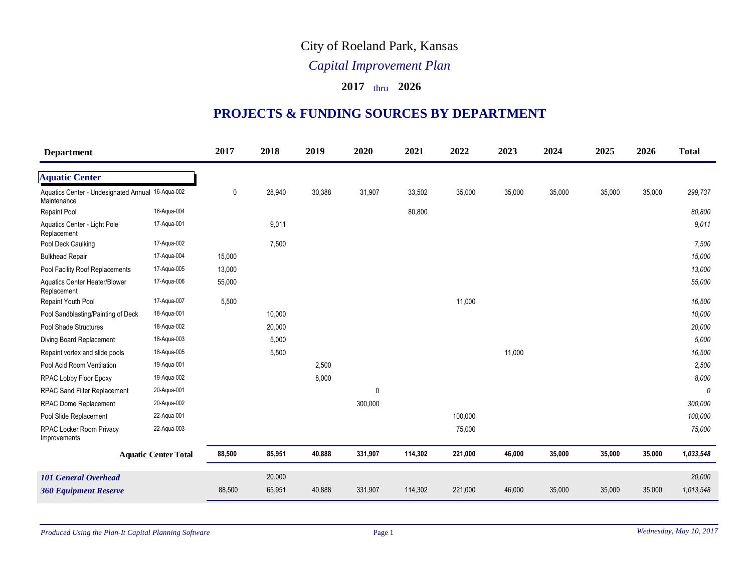## City of Roeland Park, Kansas

## *Capital Improvement Plan*

## **2017** thru **2026**

## **PROJECTS & FUNDING SOURCES BY DEPARTMENT**

| <b>Department</b>                                                |                             | 2017        | 2018   | 2019   | 2020    | 2021    | 2022    | 2023   | 2024   | 2025   | 2026   | <b>Total</b> |
|------------------------------------------------------------------|-----------------------------|-------------|--------|--------|---------|---------|---------|--------|--------|--------|--------|--------------|
| <b>Aquatic Center</b>                                            |                             |             |        |        |         |         |         |        |        |        |        |              |
| Aquatics Center - Undesignated Annual 16-Aqua-002<br>Maintenance |                             | $\mathbf 0$ | 28,940 | 30,388 | 31,907  | 33,502  | 35,000  | 35,000 | 35,000 | 35,000 | 35,000 | 299,737      |
| <b>Repaint Pool</b>                                              | 16-Aqua-004                 |             |        |        |         | 80,800  |         |        |        |        |        | 80,800       |
| Aquatics Center - Light Pole<br>Replacement                      | 17-Aqua-001                 |             | 9,011  |        |         |         |         |        |        |        |        | 9.011        |
| Pool Deck Caulking                                               | 17-Aqua-002                 |             | 7,500  |        |         |         |         |        |        |        |        | 7,500        |
| <b>Bulkhead Repair</b>                                           | 17-Aqua-004                 | 15,000      |        |        |         |         |         |        |        |        |        | 15,000       |
| Pool Facility Roof Replacements                                  | 17-Aqua-005                 | 13,000      |        |        |         |         |         |        |        |        |        | 13,000       |
| <b>Aquatics Center Heater/Blower</b><br>Replacement              | 17-Aqua-006                 | 55,000      |        |        |         |         |         |        |        |        |        | 55,000       |
| Repaint Youth Pool                                               | 17-Aqua-007                 | 5,500       |        |        |         |         | 11,000  |        |        |        |        | 16,500       |
| Pool Sandblasting/Painting of Deck                               | 18-Aqua-001                 |             | 10,000 |        |         |         |         |        |        |        |        | 10,000       |
| Pool Shade Structures                                            | 18-Aqua-002                 |             | 20,000 |        |         |         |         |        |        |        |        | 20,000       |
| Diving Board Replacement                                         | 18-Aqua-003                 |             | 5,000  |        |         |         |         |        |        |        |        | 5,000        |
| Repaint vortex and slide pools                                   | 18-Aqua-005                 |             | 5,500  |        |         |         |         | 11,000 |        |        |        | 16,500       |
| Pool Acid Room Ventilation                                       | 19-Aqua-001                 |             |        | 2,500  |         |         |         |        |        |        |        | 2,500        |
| RPAC Lobby Floor Epoxy                                           | 19-Aqua-002                 |             |        | 8,000  |         |         |         |        |        |        |        | 8,000        |
| <b>RPAC Sand Filter Replacement</b>                              | 20-Aqua-001                 |             |        |        | 0       |         |         |        |        |        |        | 0            |
| <b>RPAC Dome Replacement</b>                                     | 20-Aqua-002                 |             |        |        | 300,000 |         |         |        |        |        |        | 300,000      |
| Pool Slide Replacement                                           | 22-Aqua-001                 |             |        |        |         |         | 100,000 |        |        |        |        | 100,000      |
| RPAC Locker Room Privacy<br>Improvements                         | 22-Aqua-003                 |             |        |        |         |         | 75,000  |        |        |        |        | 75,000       |
|                                                                  | <b>Aquatic Center Total</b> | 88,500      | 85,951 | 40,888 | 331,907 | 114,302 | 221,000 | 46,000 | 35,000 | 35,000 | 35,000 | 1,033,548    |
| <b>101 General Overhead</b>                                      |                             |             | 20,000 |        |         |         |         |        |        |        |        | 20,000       |
| <b>360 Equipment Reserve</b>                                     |                             | 88,500      | 65,951 | 40,888 | 331,907 | 114,302 | 221,000 | 46,000 | 35,000 | 35,000 | 35,000 | 1,013,548    |
|                                                                  |                             |             |        |        |         |         |         |        |        |        |        |              |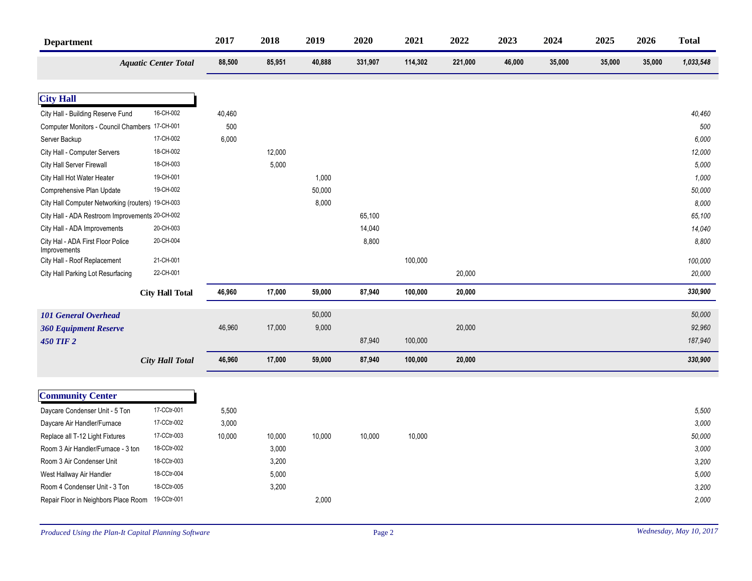| <b>Department</b>                                 |                             | 2017   | 2018   | 2019   | 2020    | 2021    | 2022    | 2023   | 2024   | 2025   | 2026   | <b>Total</b> |
|---------------------------------------------------|-----------------------------|--------|--------|--------|---------|---------|---------|--------|--------|--------|--------|--------------|
|                                                   | <b>Aquatic Center Total</b> | 88,500 | 85,951 | 40,888 | 331,907 | 114,302 | 221,000 | 46,000 | 35,000 | 35,000 | 35,000 | 1,033,548    |
|                                                   |                             |        |        |        |         |         |         |        |        |        |        |              |
| <b>City Hall</b>                                  |                             |        |        |        |         |         |         |        |        |        |        |              |
| City Hall - Building Reserve Fund                 | 16-CH-002                   | 40,460 |        |        |         |         |         |        |        |        |        | 40,460       |
| Computer Monitors - Council Chambers 17-CH-001    |                             | 500    |        |        |         |         |         |        |        |        |        | 500          |
| Server Backup                                     | 17-CH-002                   | 6,000  |        |        |         |         |         |        |        |        |        | 6,000        |
| City Hall - Computer Servers                      | 18-CH-002                   |        | 12,000 |        |         |         |         |        |        |        |        | 12,000       |
| City Hall Server Firewall                         | 18-CH-003                   |        | 5,000  |        |         |         |         |        |        |        |        | 5,000        |
| City Hall Hot Water Heater                        | 19-CH-001                   |        |        | 1,000  |         |         |         |        |        |        |        | 1,000        |
| Comprehensive Plan Update                         | 19-CH-002                   |        |        | 50,000 |         |         |         |        |        |        |        | 50,000       |
| City Hall Computer Networking (routers) 19-CH-003 |                             |        |        | 8,000  |         |         |         |        |        |        |        | 8,000        |
| City Hall - ADA Restroom Improvements 20-CH-002   |                             |        |        |        | 65,100  |         |         |        |        |        |        | 65,100       |
| City Hall - ADA Improvements                      | 20-CH-003                   |        |        |        | 14,040  |         |         |        |        |        |        | 14,040       |
| City Hal - ADA First Floor Police<br>Improvements | 20-CH-004                   |        |        |        | 8,800   |         |         |        |        |        |        | 8,800        |
| City Hall - Roof Replacement                      | 21-CH-001                   |        |        |        |         | 100,000 |         |        |        |        |        | 100,000      |
| City Hall Parking Lot Resurfacing                 | 22-CH-001                   |        |        |        |         |         | 20,000  |        |        |        |        | 20,000       |
|                                                   | <b>City Hall Total</b>      | 46,960 | 17,000 | 59,000 | 87,940  | 100,000 | 20,000  |        |        |        |        | 330,900      |
| <b>101 General Overhead</b>                       |                             |        |        | 50,000 |         |         |         |        |        |        |        | 50,000       |
| <b>360 Equipment Reserve</b>                      |                             | 46,960 | 17,000 | 9,000  |         |         | 20,000  |        |        |        |        | 92,960       |
| <b>450 TIF 2</b>                                  |                             |        |        |        | 87,940  | 100,000 |         |        |        |        |        | 187,940      |
|                                                   | <b>City Hall Total</b>      | 46,960 | 17,000 | 59,000 | 87,940  | 100,000 | 20,000  |        |        |        |        | 330,900      |
|                                                   |                             |        |        |        |         |         |         |        |        |        |        |              |
| <b>Community Center</b>                           |                             |        |        |        |         |         |         |        |        |        |        |              |
| Daycare Condenser Unit - 5 Ton                    | 17-CCtr-001                 | 5,500  |        |        |         |         |         |        |        |        |        | 5,500        |
| Daycare Air Handler/Furnace                       | 17-CCtr-002                 | 3,000  |        |        |         |         |         |        |        |        |        | 3,000        |
| Replace all T-12 Light Fixtures                   | 17-CCtr-003                 | 10,000 | 10,000 | 10,000 | 10,000  | 10,000  |         |        |        |        |        | 50,000       |
| Room 3 Air Handler/Furnace - 3 ton                | 18-CCtr-002                 |        | 3,000  |        |         |         |         |        |        |        |        | 3,000        |
| Room 3 Air Condenser Unit                         | 18-CCtr-003                 |        | 3,200  |        |         |         |         |        |        |        |        | 3,200        |
| West Hallway Air Handler                          | 18-CCtr-004                 |        | 5,000  |        |         |         |         |        |        |        |        | 5,000        |
| Room 4 Condenser Unit - 3 Ton                     | 18-CCtr-005                 |        | 3,200  |        |         |         |         |        |        |        |        | 3,200        |
| Repair Floor in Neighbors Place Room              | 19-CCtr-001                 |        |        | 2,000  |         |         |         |        |        |        |        | 2,000        |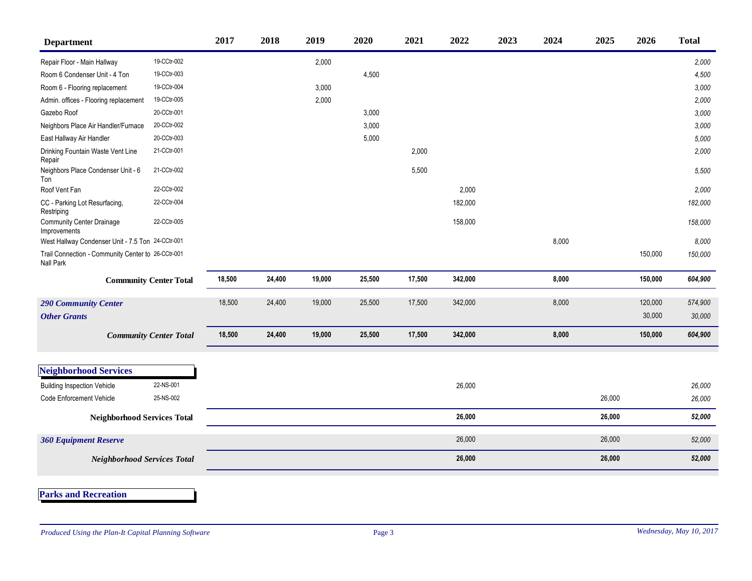| <b>Department</b>                                               |                               | 2017   | 2018   | 2019   | 2020   | 2021   | 2022    | 2023 | 2024  | 2025   | 2026    | <b>Total</b> |
|-----------------------------------------------------------------|-------------------------------|--------|--------|--------|--------|--------|---------|------|-------|--------|---------|--------------|
| Repair Floor - Main Hallway                                     | 19-CCtr-002                   |        |        | 2,000  |        |        |         |      |       |        |         | 2,000        |
| Room 6 Condenser Unit - 4 Ton                                   | 19-CCtr-003                   |        |        |        | 4,500  |        |         |      |       |        |         | 4,500        |
| Room 6 - Flooring replacement                                   | 19-CCtr-004                   |        |        | 3,000  |        |        |         |      |       |        |         | 3,000        |
| Admin. offices - Flooring replacement                           | 19-CCtr-005                   |        |        | 2,000  |        |        |         |      |       |        |         | 2,000        |
| Gazebo Roof                                                     | 20-CCtr-001                   |        |        |        | 3,000  |        |         |      |       |        |         | 3,000        |
| Neighbors Place Air Handler/Furnace                             | 20-CCtr-002                   |        |        |        | 3,000  |        |         |      |       |        |         | 3,000        |
| East Hallway Air Handler                                        | 20-CCtr-003                   |        |        |        | 5,000  |        |         |      |       |        |         | 5,000        |
| Drinking Fountain Waste Vent Line<br>Repair                     | 21-CCtr-001                   |        |        |        |        | 2,000  |         |      |       |        |         | 2,000        |
| Neighbors Place Condenser Unit - 6<br>Ton                       | 21-CCtr-002                   |        |        |        |        | 5,500  |         |      |       |        |         | 5,500        |
| Roof Vent Fan                                                   | 22-CCtr-002                   |        |        |        |        |        | 2,000   |      |       |        |         | 2,000        |
| CC - Parking Lot Resurfacing,<br>Restriping                     | 22-CCtr-004                   |        |        |        |        |        | 182,000 |      |       |        |         | 182,000      |
| <b>Community Center Drainage</b><br>Improvements                | 22-CCtr-005                   |        |        |        |        |        | 158,000 |      |       |        |         | 158,000      |
| West Hallway Condenser Unit - 7.5 Ton 24-CCtr-001               |                               |        |        |        |        |        |         |      | 8,000 |        |         | 8,000        |
| Trail Connection - Community Center to 26-CCtr-001<br>Nall Park |                               |        |        |        |        |        |         |      |       |        | 150,000 | 150,000      |
|                                                                 | <b>Community Center Total</b> | 18,500 | 24,400 | 19,000 | 25,500 | 17,500 | 342,000 |      | 8,000 |        | 150,000 | 604,900      |
| <b>290 Community Center</b>                                     |                               | 18,500 | 24,400 | 19,000 | 25,500 | 17,500 | 342,000 |      | 8,000 |        | 120,000 | 574,900      |
| <b>Other Grants</b>                                             |                               |        |        |        |        |        |         |      |       |        | 30,000  | 30,000       |
|                                                                 | <b>Community Center Total</b> | 18,500 | 24,400 | 19,000 | 25,500 | 17,500 | 342,000 |      | 8,000 |        | 150,000 | 604,900      |
|                                                                 |                               |        |        |        |        |        |         |      |       |        |         |              |
| <b>Neighborhood Services</b>                                    |                               |        |        |        |        |        |         |      |       |        |         |              |
| <b>Building Inspection Vehicle</b>                              | 22-NS-001                     |        |        |        |        |        | 26,000  |      |       |        |         | 26,000       |
| <b>Code Enforcement Vehicle</b>                                 | 25-NS-002                     |        |        |        |        |        |         |      |       | 26,000 |         | 26,000       |
| <b>Neighborhood Services Total</b>                              |                               |        |        |        |        |        | 26,000  |      |       | 26,000 |         | 52,000       |
| <b>360 Equipment Reserve</b>                                    |                               |        |        |        |        |        | 26,000  |      |       | 26,000 |         | 52,000       |
| <b>Neighborhood Services Total</b>                              |                               |        |        |        |        |        | 26,000  |      |       | 26,000 |         | 52,000       |
| <b>Parks and Recreation</b>                                     |                               |        |        |        |        |        |         |      |       |        |         |              |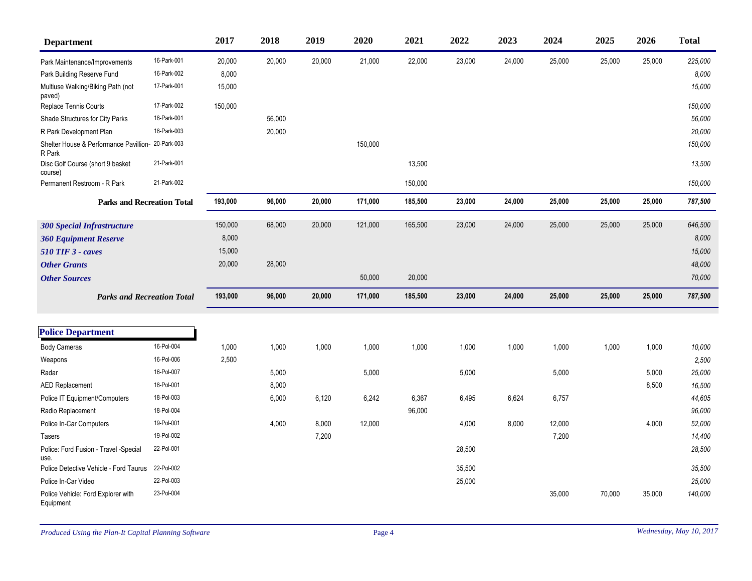| <b>Department</b>                                |             | 2017    | 2018   | 2019   | 2020    | 2021    | 2022   | 2023   | 2024   | 2025   | 2026   | <b>Total</b> |
|--------------------------------------------------|-------------|---------|--------|--------|---------|---------|--------|--------|--------|--------|--------|--------------|
| Park Maintenance/Improvements                    | 16-Park-001 | 20,000  | 20,000 | 20,000 | 21,000  | 22,000  | 23,000 | 24,000 | 25,000 | 25,000 | 25,000 | 225,000      |
| Park Building Reserve Fund                       | 16-Park-002 | 8,000   |        |        |         |         |        |        |        |        |        | 8,000        |
| Multiuse Walking/Biking Path (not<br>paved)      | 17-Park-001 | 15,000  |        |        |         |         |        |        |        |        |        | 15,000       |
| Replace Tennis Courts                            | 17-Park-002 | 150,000 |        |        |         |         |        |        |        |        |        | 150,000      |
| Shade Structures for City Parks                  | 18-Park-001 |         | 56,000 |        |         |         |        |        |        |        |        | 56,000       |
| R Park Development Plan                          | 18-Park-003 |         | 20,000 |        |         |         |        |        |        |        |        | 20,000       |
| Shelter House & Performance Pavillion-<br>R Park | 20-Park-003 |         |        |        | 150,000 |         |        |        |        |        |        | 150,000      |
| Disc Golf Course (short 9 basket<br>course)      | 21-Park-001 |         |        |        |         | 13,500  |        |        |        |        |        | 13,500       |
| Permanent Restroom - R Park                      | 21-Park-002 |         |        |        |         | 150,000 |        |        |        |        |        | 150,000      |
| <b>Parks and Recreation Total</b>                |             | 193,000 | 96,000 | 20,000 | 171,000 | 185,500 | 23,000 | 24,000 | 25,000 | 25,000 | 25,000 | 787,500      |
| <b>300 Special Infrastructure</b>                |             | 150,000 | 68,000 | 20,000 | 121,000 | 165,500 | 23,000 | 24,000 | 25,000 | 25,000 | 25,000 | 646,500      |
| <b>360 Equipment Reserve</b>                     |             | 8,000   |        |        |         |         |        |        |        |        |        | 8,000        |
| <b>510 TIF 3 - caves</b>                         |             | 15,000  |        |        |         |         |        |        |        |        |        | 15,000       |
| <b>Other Grants</b>                              |             | 20,000  | 28,000 |        |         |         |        |        |        |        |        | 48,000       |
| <b>Other Sources</b>                             |             |         |        |        | 50,000  | 20,000  |        |        |        |        |        | 70,000       |
| <b>Parks and Recreation Total</b>                |             | 193,000 | 96,000 | 20,000 | 171,000 | 185,500 | 23,000 | 24,000 | 25,000 | 25,000 | 25,000 | 787,500      |
|                                                  |             |         |        |        |         |         |        |        |        |        |        |              |
| <b>Police Department</b>                         |             |         |        |        |         |         |        |        |        |        |        |              |
| <b>Body Cameras</b>                              | 16-Pol-004  | 1,000   | 1,000  | 1,000  | 1,000   | 1,000   | 1,000  | 1,000  | 1,000  | 1,000  | 1,000  | 10,000       |
| Weapons                                          | 16-Pol-006  | 2,500   |        |        |         |         |        |        |        |        |        | 2,500        |
| Radar                                            | 16-Pol-007  |         | 5,000  |        | 5,000   |         | 5,000  |        | 5,000  |        | 5,000  | 25,000       |
| <b>AED Replacement</b>                           | 18-Pol-001  |         | 8,000  |        |         |         |        |        |        |        | 8,500  | 16,500       |
| Police IT Equipment/Computers                    | 18-Pol-003  |         | 6,000  | 6,120  | 6,242   | 6,367   | 6,495  | 6,624  | 6,757  |        |        | 44,605       |
| Radio Replacement                                | 18-Pol-004  |         |        |        |         | 96,000  |        |        |        |        |        | 96,000       |
| Police In-Car Computers                          | 19-Pol-001  |         | 4,000  | 8,000  | 12,000  |         | 4,000  | 8,000  | 12,000 |        | 4,000  | 52,000       |
| Tasers                                           | 19-Pol-002  |         |        | 7,200  |         |         |        |        | 7,200  |        |        | 14,400       |
| Police: Ford Fusion - Travel - Special<br>use.   | 22-Pol-001  |         |        |        |         |         | 28,500 |        |        |        |        | 28,500       |
| Police Detective Vehicle - Ford Taurus           | 22-Pol-002  |         |        |        |         |         | 35,500 |        |        |        |        | 35,500       |
| Police In-Car Video                              | 22-Pol-003  |         |        |        |         |         | 25,000 |        |        |        |        | 25,000       |
| Police Vehicle: Ford Explorer with<br>Equipment  | 23-Pol-004  |         |        |        |         |         |        |        | 35,000 | 70,000 | 35,000 | 140,000      |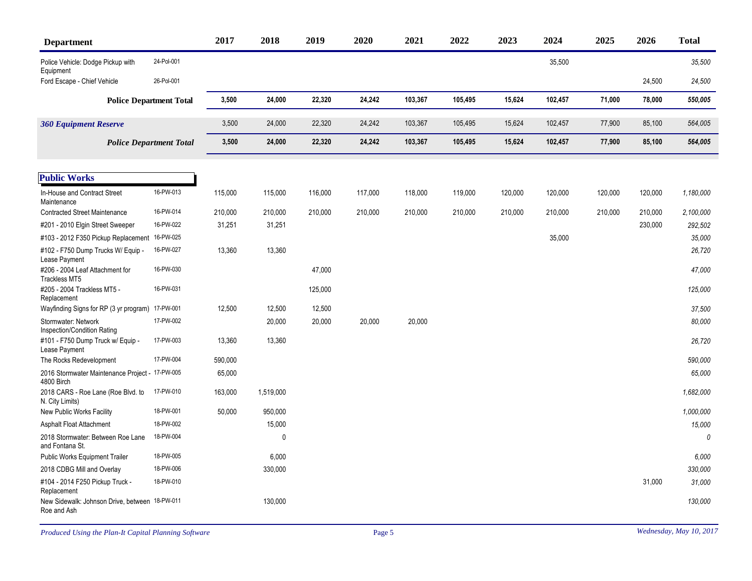| <b>Department</b>                                             |                                | 2017    | 2018         | 2019    | 2020    | 2021    | 2022    | 2023    | 2024    | 2025    | 2026    | <b>Total</b> |
|---------------------------------------------------------------|--------------------------------|---------|--------------|---------|---------|---------|---------|---------|---------|---------|---------|--------------|
| Police Vehicle: Dodge Pickup with<br>Equipment                | 24-Pol-001                     |         |              |         |         |         |         |         | 35,500  |         |         | 35,500       |
| Ford Escape - Chief Vehicle                                   | 26-Pol-001                     |         |              |         |         |         |         |         |         |         | 24,500  | 24,500       |
|                                                               | <b>Police Department Total</b> | 3,500   | 24,000       | 22,320  | 24,242  | 103,367 | 105,495 | 15,624  | 102,457 | 71,000  | 78,000  | 550,005      |
| <b>360 Equipment Reserve</b>                                  |                                | 3,500   | 24,000       | 22,320  | 24,242  | 103,367 | 105,495 | 15,624  | 102,457 | 77,900  | 85,100  | 564,005      |
|                                                               | <b>Police Department Total</b> | 3,500   | 24,000       | 22,320  | 24,242  | 103,367 | 105,495 | 15,624  | 102,457 | 77,900  | 85,100  | 564,005      |
| <b>Public Works</b>                                           |                                |         |              |         |         |         |         |         |         |         |         |              |
| In-House and Contract Street<br>Maintenance                   | 16-PW-013                      | 115,000 | 115,000      | 116,000 | 117,000 | 118,000 | 119,000 | 120,000 | 120,000 | 120,000 | 120,000 | 1,180,000    |
| <b>Contracted Street Maintenance</b>                          | 16-PW-014                      | 210,000 | 210,000      | 210,000 | 210,000 | 210,000 | 210,000 | 210,000 | 210,000 | 210,000 | 210,000 | 2,100,000    |
| #201 - 2010 Elgin Street Sweeper                              | 16-PW-022                      | 31,251  | 31,251       |         |         |         |         |         |         |         | 230,000 | 292,502      |
| #103 - 2012 F350 Pickup Replacement                           | 16-PW-025                      |         |              |         |         |         |         |         | 35,000  |         |         | 35,000       |
| #102 - F750 Dump Trucks W/ Equip -<br>Lease Payment           | 16-PW-027                      | 13,360  | 13,360       |         |         |         |         |         |         |         |         | 26,720       |
| #206 - 2004 Leaf Attachment for<br>Trackless MT5              | 16-PW-030                      |         |              | 47,000  |         |         |         |         |         |         |         | 47,000       |
| #205 - 2004 Trackless MT5 -<br>Replacement                    | 16-PW-031                      |         |              | 125,000 |         |         |         |         |         |         |         | 125,000      |
| Wayfinding Signs for RP (3 yr program)                        | 17-PW-001                      | 12,500  | 12,500       | 12,500  |         |         |         |         |         |         |         | 37,500       |
| Stormwater: Network<br>Inspection/Condition Rating            | 17-PW-002                      |         | 20,000       | 20,000  | 20,000  | 20,000  |         |         |         |         |         | 80.000       |
| #101 - F750 Dump Truck w/ Equip -<br>Lease Payment            | 17-PW-003                      | 13,360  | 13,360       |         |         |         |         |         |         |         |         | 26,720       |
| The Rocks Redevelopment                                       | 17-PW-004                      | 590,000 |              |         |         |         |         |         |         |         |         | 590,000      |
| 2016 Stormwater Maintenance Project - 17-PW-005<br>4800 Birch |                                | 65,000  |              |         |         |         |         |         |         |         |         | 65,000       |
| 2018 CARS - Roe Lane (Roe Blvd. to<br>N. City Limits)         | 17-PW-010                      | 163,000 | 1,519,000    |         |         |         |         |         |         |         |         | 1,682,000    |
| New Public Works Facility                                     | 18-PW-001                      | 50,000  | 950,000      |         |         |         |         |         |         |         |         | 1,000,000    |
| Asphalt Float Attachment                                      | 18-PW-002                      |         | 15,000       |         |         |         |         |         |         |         |         | 15,000       |
| 2018 Stormwater: Between Roe Lane<br>and Fontana St.          | 18-PW-004                      |         | $\mathbf{0}$ |         |         |         |         |         |         |         |         | $\theta$     |
| Public Works Equipment Trailer                                | 18-PW-005                      |         | 6,000        |         |         |         |         |         |         |         |         | 6,000        |
| 2018 CDBG Mill and Overlay                                    | 18-PW-006                      |         | 330,000      |         |         |         |         |         |         |         |         | 330,000      |
| #104 - 2014 F250 Pickup Truck -<br>Replacement                | 18-PW-010                      |         |              |         |         |         |         |         |         |         | 31,000  | 31.000       |
| New Sidewalk: Johnson Drive, between 18-PW-011<br>Roe and Ash |                                |         | 130,000      |         |         |         |         |         |         |         |         | 130,000      |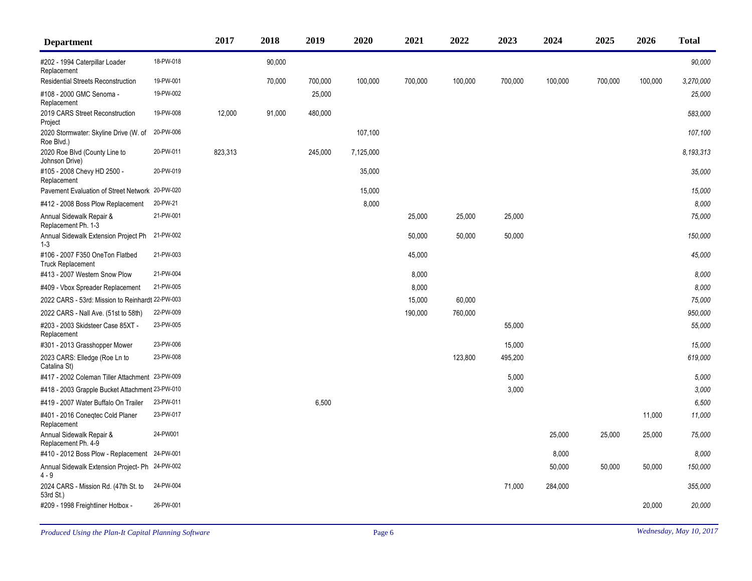| <b>Department</b>                                           |           | 2017    | 2018   | 2019    | 2020      | 2021    | 2022    | 2023    | 2024    | 2025    | 2026    | <b>Total</b> |
|-------------------------------------------------------------|-----------|---------|--------|---------|-----------|---------|---------|---------|---------|---------|---------|--------------|
| #202 - 1994 Caterpillar Loader<br>Replacement               | 18-PW-018 |         | 90,000 |         |           |         |         |         |         |         |         | 90,000       |
| <b>Residential Streets Reconstruction</b>                   | 19-PW-001 |         | 70,000 | 700,000 | 100,000   | 700,000 | 100,000 | 700,000 | 100,000 | 700,000 | 100,000 | 3,270,000    |
| #108 - 2000 GMC Senoma -<br>Replacement                     | 19-PW-002 |         |        | 25,000  |           |         |         |         |         |         |         | 25,000       |
| 2019 CARS Street Reconstruction<br>Project                  | 19-PW-008 | 12,000  | 91,000 | 480,000 |           |         |         |         |         |         |         | 583,000      |
| 2020 Stormwater: Skyline Drive (W. of<br>Roe Blvd.)         | 20-PW-006 |         |        |         | 107,100   |         |         |         |         |         |         | 107,100      |
| 2020 Roe Blvd (County Line to<br>Johnson Drive)             | 20-PW-011 | 823,313 |        | 245,000 | 7,125,000 |         |         |         |         |         |         | 8.193.313    |
| #105 - 2008 Chevy HD 2500 -<br>Replacement                  | 20-PW-019 |         |        |         | 35,000    |         |         |         |         |         |         | 35,000       |
| Pavement Evaluation of Street Network                       | 20-PW-020 |         |        |         | 15,000    |         |         |         |         |         |         | 15,000       |
| #412 - 2008 Boss Plow Replacement                           | 20-PW-21  |         |        |         | 8,000     |         |         |         |         |         |         | 8,000        |
| Annual Sidewalk Repair &<br>Replacement Ph. 1-3             | 21-PW-001 |         |        |         |           | 25,000  | 25,000  | 25,000  |         |         |         | 75,000       |
| Annual Sidewalk Extension Project Ph<br>$1 - 3$             | 21-PW-002 |         |        |         |           | 50,000  | 50,000  | 50,000  |         |         |         | 150,000      |
| #106 - 2007 F350 OneTon Flatbed<br><b>Truck Replacement</b> | 21-PW-003 |         |        |         |           | 45,000  |         |         |         |         |         | 45,000       |
| #413 - 2007 Western Snow Plow                               | 21-PW-004 |         |        |         |           | 8,000   |         |         |         |         |         | 8,000        |
| #409 - Vbox Spreader Replacement                            | 21-PW-005 |         |        |         |           | 8,000   |         |         |         |         |         | 8.000        |
| 2022 CARS - 53rd: Mission to Reinhardt 22-PW-003            |           |         |        |         |           | 15,000  | 60,000  |         |         |         |         | 75,000       |
| 2022 CARS - Nall Ave. (51st to 58th)                        | 22-PW-009 |         |        |         |           | 190,000 | 760,000 |         |         |         |         | 950,000      |
| #203 - 2003 Skidsteer Case 85XT -<br>Replacement            | 23-PW-005 |         |        |         |           |         |         | 55,000  |         |         |         | 55,000       |
| #301 - 2013 Grasshopper Mower                               | 23-PW-006 |         |        |         |           |         |         | 15,000  |         |         |         | 15,000       |
| 2023 CARS: Elledge (Roe Ln to<br>Catalina St)               | 23-PW-008 |         |        |         |           |         | 123,800 | 495,200 |         |         |         | 619,000      |
| #417 - 2002 Coleman Tiller Attachment 23-PW-009             |           |         |        |         |           |         |         | 5,000   |         |         |         | 5,000        |
| #418 - 2003 Grapple Bucket Attachment 23-PW-010             |           |         |        |         |           |         |         | 3,000   |         |         |         | 3,000        |
| #419 - 2007 Water Buffalo On Trailer                        | 23-PW-011 |         |        | 6,500   |           |         |         |         |         |         |         | 6,500        |
| #401 - 2016 Conegtec Cold Planer<br>Replacement             | 23-PW-017 |         |        |         |           |         |         |         |         |         | 11,000  | 11,000       |
| Annual Sidewalk Repair &<br>Replacement Ph. 4-9             | 24-PW001  |         |        |         |           |         |         |         | 25,000  | 25,000  | 25,000  | 75,000       |
| #410 - 2012 Boss Plow - Replacement                         | 24-PW-001 |         |        |         |           |         |         |         | 8,000   |         |         | 8,000        |
| Annual Sidewalk Extension Project- Ph 24-PW-002<br>$4 - 9$  |           |         |        |         |           |         |         |         | 50,000  | 50,000  | 50,000  | 150,000      |
| 2024 CARS - Mission Rd. (47th St. to<br>53rd St.)           | 24-PW-004 |         |        |         |           |         |         | 71,000  | 284,000 |         |         | 355,000      |
| #209 - 1998 Freightliner Hotbox -                           | 26-PW-001 |         |        |         |           |         |         |         |         |         | 20,000  | 20,000       |